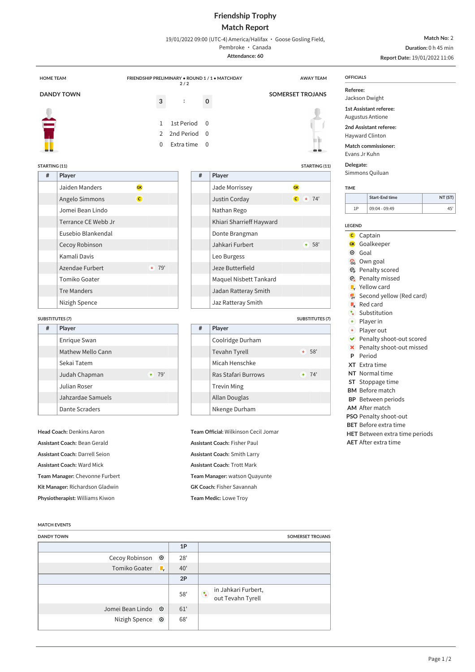## **Friendship Trophy Match Report**

19/01/2022 09:00 (UTC-4) America/Halifax · Goose Gosling Field,

Pembroke · Canada **Attendance: 60**

**Match No:** 2 **Duration:** 0 h 45 min

**Report Date:** 19/01/2022 11:06

| <b>HOME TEAM</b>                                                                        |                        | FRIENDSHIP PRELIMINARY . ROUND 1 / 1 . MATCHDAY<br>2/2 |                                                                     |                            |                          | <b>AWAY TEAM</b>                                                            | <b>OFFICIALS</b>                           |                                                                                                                              |         |  |
|-----------------------------------------------------------------------------------------|------------------------|--------------------------------------------------------|---------------------------------------------------------------------|----------------------------|--------------------------|-----------------------------------------------------------------------------|--------------------------------------------|------------------------------------------------------------------------------------------------------------------------------|---------|--|
| <b>DANDY TOWN</b>                                                                       |                        |                                                        |                                                                     |                            |                          | <b>SOMERSET TROJANS</b>                                                     | Referee:<br>Jackson Dwight                 |                                                                                                                              |         |  |
|                                                                                         |                        | 3<br>$\mathbf{1}$<br>$\overline{2}$<br>$\Omega$        | $\ddot{\cdot}$<br><b>1st Period</b><br>2nd Period 0<br>Extra time 0 | $\mathbf 0$<br>$\Omega$    |                          |                                                                             | Evans Jr Kuhn                              | 1st Assistant referee:<br><b>Augustus Antione</b><br>2nd Assistant referee:<br>Hayward Clinton<br><b>Match commissioner:</b> |         |  |
| <b>STARTING (11)</b>                                                                    |                        |                                                        |                                                                     |                            |                          | STARTING (11)                                                               | Delegate:<br>Simmons Quiluan               |                                                                                                                              |         |  |
| #                                                                                       | Player                 |                                                        |                                                                     | #                          | Player                   |                                                                             |                                            |                                                                                                                              |         |  |
|                                                                                         | Jaiden Manders         | <b>GK</b>                                              |                                                                     |                            | Jade Morrissey           | GK                                                                          | <b>TIME</b>                                | <b>Start-End time</b>                                                                                                        | NT (ST) |  |
|                                                                                         | Angelo Simmons         | $\overline{c}$                                         |                                                                     |                            | Justin Corday            | $C + 74'$                                                                   | 1P                                         | 09:04 - 09:49                                                                                                                | 45'     |  |
|                                                                                         | Jomei Bean Lindo       |                                                        |                                                                     |                            | Nathan Rego              |                                                                             |                                            |                                                                                                                              |         |  |
|                                                                                         | Terrance CE Webb Jr    |                                                        |                                                                     |                            | Khiari Sharrieff Hayward |                                                                             | <b>LEGEND</b>                              |                                                                                                                              |         |  |
|                                                                                         | Eusebio Blankendal     |                                                        |                                                                     |                            | Donte Brangman           |                                                                             | <b>C</b> Captain                           |                                                                                                                              |         |  |
|                                                                                         | Cecoy Robinson         |                                                        |                                                                     | Jahkari Furbert<br>$+ 58'$ |                          |                                                                             |                                            | Goalkeeper<br><b>GK</b><br>$\odot$<br>Goal                                                                                   |         |  |
| Kamali Davis<br>Azendae Furbert<br>Tomiko Goater<br><b>Tre Manders</b><br>Nizigh Spence |                        |                                                        |                                                                     |                            | Leo Burgess              |                                                                             | Own goal<br>ි                              |                                                                                                                              |         |  |
|                                                                                         |                        | $+ 79'$                                                |                                                                     |                            | Jeze Butterfield         | <b>B</b> Penalty scored                                                     |                                            |                                                                                                                              |         |  |
|                                                                                         |                        |                                                        |                                                                     |                            | Maquel Nisbett Tankard   | <b>@</b> Penalty missed<br><b>V</b> Yellow card<br>Second yellow (Red card) |                                            |                                                                                                                              |         |  |
|                                                                                         |                        |                                                        |                                                                     |                            | Jadan Ratteray Smith     |                                                                             |                                            |                                                                                                                              |         |  |
|                                                                                         |                        |                                                        |                                                                     |                            | Jaz Ratteray Smith       |                                                                             | $\blacksquare$ Red card                    |                                                                                                                              |         |  |
|                                                                                         | <b>SUBSTITUTES (7)</b> |                                                        |                                                                     |                            |                          | <b>SUBSTITUTES (7)</b>                                                      | $\mathcal{L}_{\Phi}$<br>$\blacklozenge$    | Substitution<br>Player in                                                                                                    |         |  |
| #                                                                                       | Player                 |                                                        |                                                                     | #                          | Player                   |                                                                             | $\rightarrow$                              | Player out                                                                                                                   |         |  |
|                                                                                         | Enrique Swan           |                                                        |                                                                     |                            | Coolridge Durham         |                                                                             | $\checkmark$                               | Penalty shoot-out scored                                                                                                     |         |  |
|                                                                                         | Mathew Mello Cann      |                                                        |                                                                     |                            | Tevahn Tyrell            | $\bullet$ 58'                                                               | $\mathbf{x}$<br>P                          | Penalty shoot-out missed<br>Period                                                                                           |         |  |
|                                                                                         | Sekai Tatem            |                                                        |                                                                     |                            | Micah Henschke           |                                                                             |                                            | XT Extra time                                                                                                                |         |  |
|                                                                                         | Judah Chapman          | $+ 79'$                                                |                                                                     |                            | Ras Stafari Burrows      | $+ 74'$                                                                     |                                            | NT Normal time                                                                                                               |         |  |
|                                                                                         | Julian Roser           |                                                        |                                                                     |                            | <b>Trevin Ming</b>       |                                                                             | ST Stoppage time<br><b>BM</b> Before match |                                                                                                                              |         |  |
|                                                                                         | Jahzardae Samuels      |                                                        |                                                                     |                            | Allan Douglas            |                                                                             | <b>BP</b> Between periods                  |                                                                                                                              |         |  |
|                                                                                         | <b>Dante Scraders</b>  |                                                        |                                                                     |                            | Nkenge Durham            |                                                                             |                                            | AM After match                                                                                                               |         |  |
|                                                                                         |                        |                                                        |                                                                     |                            |                          |                                                                             |                                            | PSO Penalty shoot-out                                                                                                        |         |  |

**Head Coach:** Denkins Aaron **Assistant Coach:** Bean Gerald **Assistant Coach:** Darrell Seion **Assistant Coach:** Ward Mick **Team Manager:** Chevonne Furbert **Kit Manager:** Richardson Gladwin

# **Physiotherapist:** Williams Kiwon

# **Team Official:** Wilkinson Cecil Jomar **Assistant Coach:** Fisher Paul **Assistant Coach:** Smith Larry **Assistant Coach:** Trott Mark **Team Manager:** watson Quayunte **GK Coach:** Fisher Savannah **Team Medic:** Lowe Troy

## **BET** Before extra time

- **HET** Between extra time periods
- **AET** After extra time

#### **MATCH EVENTS**

| <b>DANDY TOWN</b> |              |     | SOMERSET TROJANS                                       |
|-------------------|--------------|-----|--------------------------------------------------------|
|                   |              | 1P  |                                                        |
| Cecoy Robinson    | $\odot$      | 28' |                                                        |
| Tomiko Goater     | $\mathbb{L}$ | 40' |                                                        |
|                   |              | 2P  |                                                        |
|                   |              | 58' | in Jahkari Furbert,<br>$\uparrow$<br>out Tevahn Tyrell |
| Jomei Bean Lindo  | $\odot$      | 61' |                                                        |
| Nizigh Spence     | $\odot$      | 68' |                                                        |